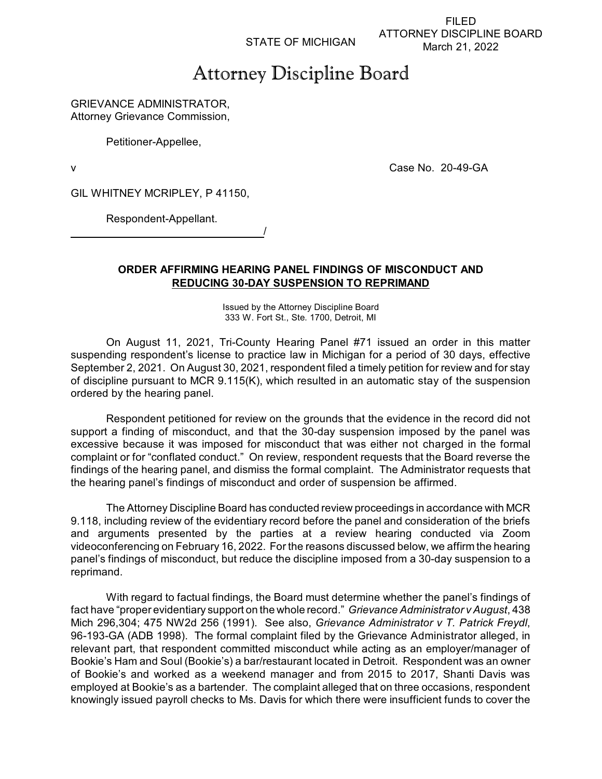STATE OF MICHIGAN

FILED ATTORNEY DISCIPLINE BOARD March 21, 2022

# Attorney Discipline Board

## GRIEVANCE ADMINISTRATOR, Attorney Grievance Commission,

Petitioner-Appellee,

v Case No. 20-49-GA

GIL WHITNEY MCRIPLEY, P 41150,

Respondent-Appellant. /

# **ORDER AFFIRMING HEARING PANEL FINDINGS OF MISCONDUCT AND REDUCING 30-DAY SUSPENSION TO REPRIMAND**

Issued by the Attorney Discipline Board 333 W. Fort St., Ste. 1700, Detroit, MI

On August 11, 2021, Tri-County Hearing Panel #71 issued an order in this matter suspending respondent's license to practice law in Michigan for a period of 30 days, effective September 2, 2021. On August 30, 2021, respondent filed a timely petition for review and for stay of discipline pursuant to MCR 9.115(K), which resulted in an automatic stay of the suspension ordered by the hearing panel.

Respondent petitioned for review on the grounds that the evidence in the record did not support a finding of misconduct, and that the 30-day suspension imposed by the panel was excessive because it was imposed for misconduct that was either not charged in the formal complaint or for "conflated conduct." On review, respondent requests that the Board reverse the findings of the hearing panel, and dismiss the formal complaint. The Administrator requests that the hearing panel's findings of misconduct and order of suspension be affirmed.

The Attorney Discipline Board has conducted review proceedings in accordance with MCR 9.118, including review of the evidentiary record before the panel and consideration of the briefs and arguments presented by the parties at a review hearing conducted via Zoom videoconferencing on February 16, 2022. For the reasons discussed below, we affirm the hearing panel's findings of misconduct, but reduce the discipline imposed from a 30-day suspension to a reprimand.

With regard to factual findings, the Board must determine whether the panel's findings of fact have "proper evidentiary support on the whole record." *Grievance Administrator v August*, 438 Mich 296,304; 475 NW2d 256 (1991). See also, *Grievance Administrator v T. Patrick Freydl*, 96-193-GA (ADB 1998). The formal complaint filed by the Grievance Administrator alleged, in relevant part, that respondent committed misconduct while acting as an employer/manager of Bookie's Ham and Soul (Bookie's) a bar/restaurant located in Detroit. Respondent was an owner of Bookie's and worked as a weekend manager and from 2015 to 2017, Shanti Davis was employed at Bookie's as a bartender. The complaint alleged that on three occasions, respondent knowingly issued payroll checks to Ms. Davis for which there were insufficient funds to cover the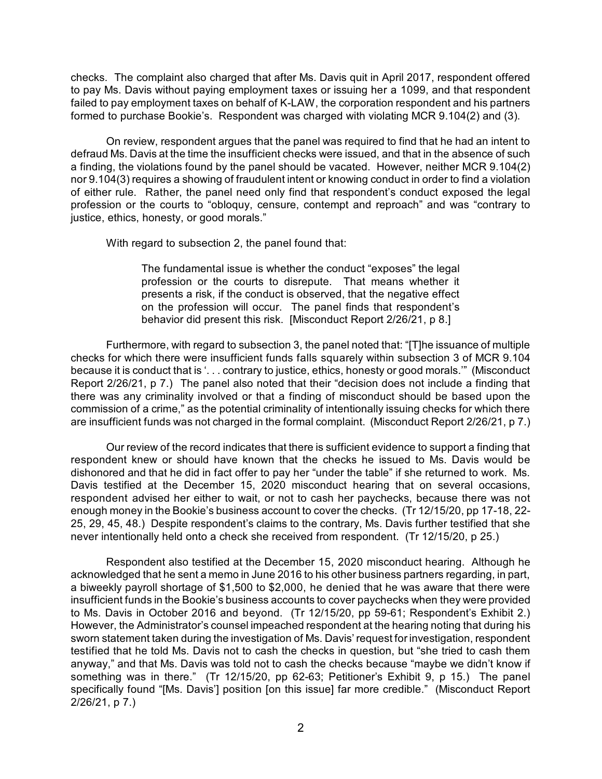checks. The complaint also charged that after Ms. Davis quit in April 2017, respondent offered to pay Ms. Davis without paying employment taxes or issuing her a 1099, and that respondent failed to pay employment taxes on behalf of K-LAW, the corporation respondent and his partners formed to purchase Bookie's. Respondent was charged with violating MCR 9.104(2) and (3).

On review, respondent argues that the panel was required to find that he had an intent to defraud Ms. Davis at the time the insufficient checks were issued, and that in the absence of such a finding, the violations found by the panel should be vacated. However, neither MCR 9.104(2) nor 9.104(3) requires a showing of fraudulent intent or knowing conduct in order to find a violation of either rule. Rather, the panel need only find that respondent's conduct exposed the legal profession or the courts to "obloquy, censure, contempt and reproach" and was "contrary to justice, ethics, honesty, or good morals."

With regard to subsection 2, the panel found that:

The fundamental issue is whether the conduct "exposes" the legal profession or the courts to disrepute. That means whether it presents a risk, if the conduct is observed, that the negative effect on the profession will occur. The panel finds that respondent's behavior did present this risk. [Misconduct Report 2/26/21, p 8.]

Furthermore, with regard to subsection 3, the panel noted that: "[T]he issuance of multiple checks for which there were insufficient funds falls squarely within subsection 3 of MCR 9.104 because it is conduct that is '. . . contrary to justice, ethics, honesty or good morals.'" (Misconduct Report 2/26/21, p 7.) The panel also noted that their "decision does not include a finding that there was any criminality involved or that a finding of misconduct should be based upon the commission of a crime," as the potential criminality of intentionally issuing checks for which there are insufficient funds was not charged in the formal complaint. (Misconduct Report 2/26/21, p 7.)

Our review of the record indicates that there is sufficient evidence to support a finding that respondent knew or should have known that the checks he issued to Ms. Davis would be dishonored and that he did in fact offer to pay her "under the table" if she returned to work. Ms. Davis testified at the December 15, 2020 misconduct hearing that on several occasions, respondent advised her either to wait, or not to cash her paychecks, because there was not enough money in the Bookie's business account to cover the checks. (Tr 12/15/20, pp 17-18, 22- 25, 29, 45, 48.) Despite respondent's claims to the contrary, Ms. Davis further testified that she never intentionally held onto a check she received from respondent. (Tr 12/15/20, p 25.)

Respondent also testified at the December 15, 2020 misconduct hearing. Although he acknowledged that he sent a memo in June 2016 to his other business partners regarding, in part, a biweekly payroll shortage of \$1,500 to \$2,000, he denied that he was aware that there were insufficient funds in the Bookie's business accounts to cover paychecks when they were provided to Ms. Davis in October 2016 and beyond. (Tr 12/15/20, pp 59-61; Respondent's Exhibit 2.) However, the Administrator's counsel impeached respondent at the hearing noting that during his sworn statement taken during the investigation of Ms. Davis' request forinvestigation, respondent testified that he told Ms. Davis not to cash the checks in question, but "she tried to cash them anyway," and that Ms. Davis was told not to cash the checks because "maybe we didn't know if something was in there." (Tr 12/15/20, pp 62-63; Petitioner's Exhibit 9, p 15.) The panel specifically found "[Ms. Davis'] position [on this issue] far more credible." (Misconduct Report 2/26/21, p 7.)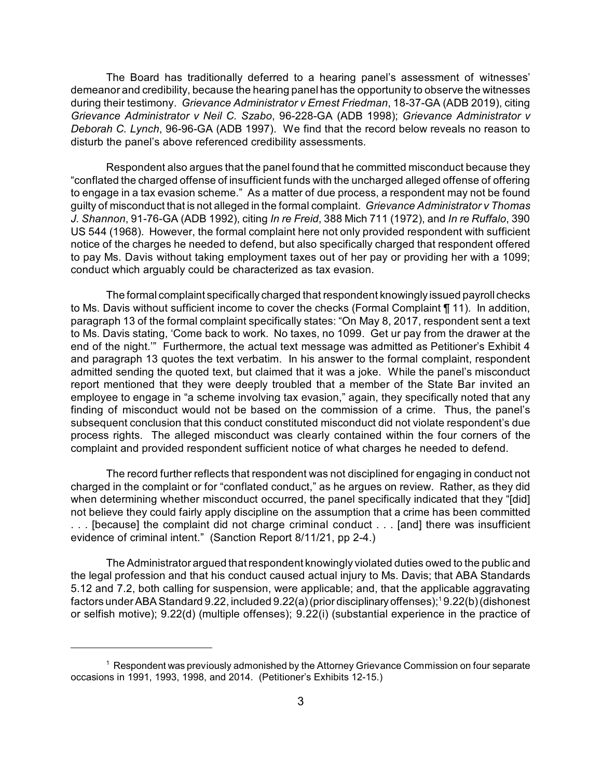The Board has traditionally deferred to a hearing panel's assessment of witnesses' demeanor and credibility, because the hearing panel has the opportunity to observe the witnesses during their testimony. *Grievance Administrator v Ernest Friedman*, 18-37-GA (ADB 2019), citing *Grievance Administrator v Neil C. Szabo*, 96-228-GA (ADB 1998); *Grievance Administrator v Deborah C. Lynch*, 96-96-GA (ADB 1997). We find that the record below reveals no reason to disturb the panel's above referenced credibility assessments.

Respondent also argues that the panel found that he committed misconduct because they "conflated the charged offense of insufficient funds with the uncharged alleged offense of offering to engage in a tax evasion scheme." As a matter of due process, a respondent may not be found guilty of misconduct that is not alleged in the formal complaint. *Grievance Administrator v Thomas J. Shannon*, 91-76-GA (ADB 1992), citing *In re Freid*, 388 Mich 711 (1972), and *In re Ruffalo*, 390 US 544 (1968). However, the formal complaint here not only provided respondent with sufficient notice of the charges he needed to defend, but also specifically charged that respondent offered to pay Ms. Davis without taking employment taxes out of her pay or providing her with a 1099; conduct which arguably could be characterized as tax evasion.

The formal complaint specifically charged that respondent knowingly issued payroll checks to Ms. Davis without sufficient income to cover the checks (Formal Complaint ¶ 11). In addition, paragraph 13 of the formal complaint specifically states: "On May 8, 2017, respondent sent a text to Ms. Davis stating, 'Come back to work. No taxes, no 1099. Get ur pay from the drawer at the end of the night.'" Furthermore, the actual text message was admitted as Petitioner's Exhibit 4 and paragraph 13 quotes the text verbatim. In his answer to the formal complaint, respondent admitted sending the quoted text, but claimed that it was a joke. While the panel's misconduct report mentioned that they were deeply troubled that a member of the State Bar invited an employee to engage in "a scheme involving tax evasion," again, they specifically noted that any finding of misconduct would not be based on the commission of a crime. Thus, the panel's subsequent conclusion that this conduct constituted misconduct did not violate respondent's due process rights. The alleged misconduct was clearly contained within the four corners of the complaint and provided respondent sufficient notice of what charges he needed to defend.

The record further reflects that respondent was not disciplined for engaging in conduct not charged in the complaint or for "conflated conduct," as he argues on review. Rather, as they did when determining whether misconduct occurred, the panel specifically indicated that they "[did] not believe they could fairly apply discipline on the assumption that a crime has been committed . . . [because] the complaint did not charge criminal conduct . . . [and] there was insufficient evidence of criminal intent." (Sanction Report 8/11/21, pp 2-4.)

The Administrator argued thatrespondent knowingly violated duties owed to the public and the legal profession and that his conduct caused actual injury to Ms. Davis; that ABA Standards 5.12 and 7.2, both calling for suspension, were applicable; and, that the applicable aggravating factors underABAStandard 9.22, included 9.22(a)(prior disciplinaryoffenses); <sup>1</sup> 9.22(b)(dishonest or selfish motive); 9.22(d) (multiple offenses); 9.22(i) (substantial experience in the practice of

 $1$  Respondent was previously admonished by the Attorney Grievance Commission on four separate occasions in 1991, 1993, 1998, and 2014. (Petitioner's Exhibits 12-15.)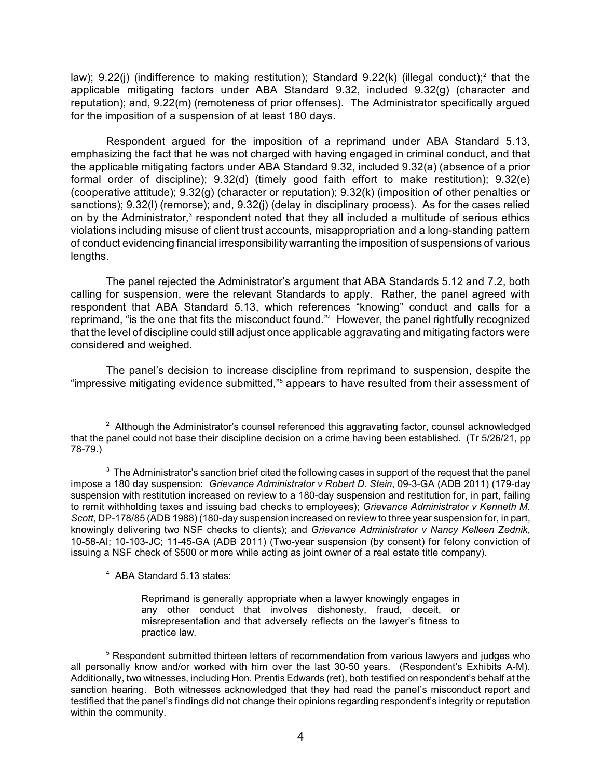law); 9.22(j) (indifference to making restitution); Standard 9.22(k) (illegal conduct);<sup>2</sup> that the applicable mitigating factors under ABA Standard 9.32, included 9.32(g) (character and reputation); and, 9.22(m) (remoteness of prior offenses). The Administrator specifically argued for the imposition of a suspension of at least 180 days.

Respondent argued for the imposition of a reprimand under ABA Standard 5.13, emphasizing the fact that he was not charged with having engaged in criminal conduct, and that the applicable mitigating factors under ABA Standard 9.32, included 9.32(a) (absence of a prior formal order of discipline); 9.32(d) (timely good faith effort to make restitution); 9.32(e) (cooperative attitude); 9.32(g) (character or reputation); 9.32(k) (imposition of other penalties or sanctions); 9.32(l) (remorse); and, 9.32(j) (delay in disciplinary process). As for the cases relied on by the Administrator,<sup>3</sup> respondent noted that they all included a multitude of serious ethics violations including misuse of client trust accounts, misappropriation and a long-standing pattern of conduct evidencing financial irresponsibility warranting the imposition of suspensions of various lengths.

The panel rejected the Administrator's argument that ABA Standards 5.12 and 7.2, both calling for suspension, were the relevant Standards to apply. Rather, the panel agreed with respondent that ABA Standard 5.13, which references "knowing" conduct and calls for a reprimand, "is the one that fits the misconduct found." <sup>4</sup> However, the panel rightfully recognized that the level of discipline could still adjust once applicable aggravating and mitigating factors were considered and weighed.

The panel's decision to increase discipline from reprimand to suspension, despite the "impressive mitigating evidence submitted,"<sup>5</sup> appears to have resulted from their assessment of

<sup>4</sup> ABA Standard 5.13 states:

Reprimand is generally appropriate when a lawyer knowingly engages in any other conduct that involves dishonesty, fraud, deceit, or misrepresentation and that adversely reflects on the lawyer's fitness to practice law.

 $2$  Although the Administrator's counsel referenced this aggravating factor, counsel acknowledged that the panel could not base their discipline decision on a crime having been established. (Tr 5/26/21, pp 78-79.)

 $3$  The Administrator's sanction brief cited the following cases in support of the request that the panel impose a 180 day suspension: *Grievance Administrator v Robert D. Stein*, 09-3-GA (ADB 2011) (179-day suspension with restitution increased on review to a 180-day suspension and restitution for, in part, failing to remit withholding taxes and issuing bad checks to employees); *Grievance Administrator v Kenneth M. Scott*, DP-178/85 (ADB 1988) (180-day suspension increased on review to three year suspension for, in part, knowingly delivering two NSF checks to clients); and *Grievance Administrator v Nancy Kelleen Zednik*, 10-58-AI; 10-103-JC; 11-45-GA (ADB 2011) (Two-year suspension (by consent) for felony conviction of issuing a NSF check of \$500 or more while acting as joint owner of a real estate title company).

 $5$  Respondent submitted thirteen letters of recommendation from various lawyers and judges who all personally know and/or worked with him over the last 30-50 years. (Respondent's Exhibits A-M). Additionally, two witnesses, including Hon. Prentis Edwards (ret), both testified on respondent's behalf at the sanction hearing. Both witnesses acknowledged that they had read the panel's misconduct report and testified that the panel's findings did not change their opinions regarding respondent's integrity or reputation within the community.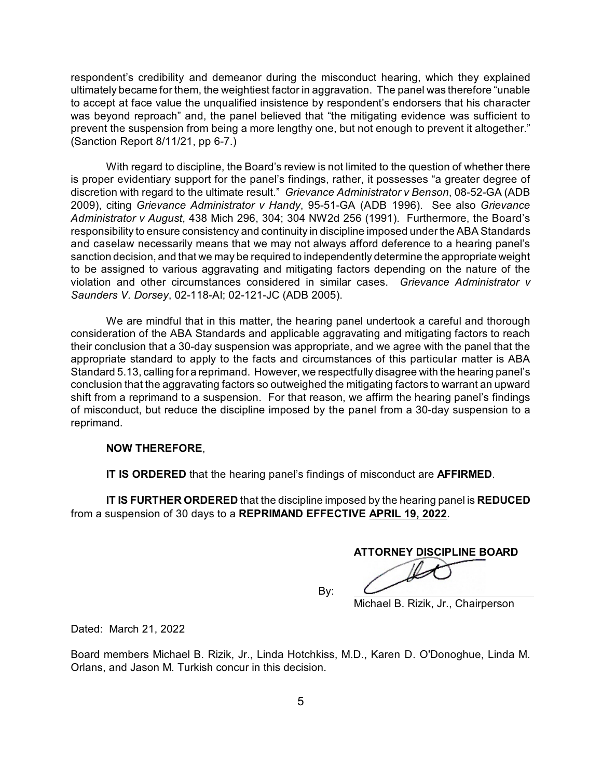respondent's credibility and demeanor during the misconduct hearing, which they explained ultimately became for them, the weightiest factor in aggravation. The panel was therefore "unable to accept at face value the unqualified insistence by respondent's endorsers that his character was beyond reproach" and, the panel believed that "the mitigating evidence was sufficient to prevent the suspension from being a more lengthy one, but not enough to prevent it altogether." (Sanction Report 8/11/21, pp 6-7.)

With regard to discipline, the Board's review is not limited to the question of whether there is proper evidentiary support for the panel's findings, rather, it possesses "a greater degree of discretion with regard to the ultimate result." *Grievance Administrator v Benson*, 08-52-GA (ADB 2009), citing *Grievance Administrator v Handy*, 95-51-GA (ADB 1996). See also *Grievance Administrator v August*, 438 Mich 296, 304; 304 NW2d 256 (1991). Furthermore, the Board's responsibility to ensure consistency and continuity in discipline imposed under the ABA Standards and caselaw necessarily means that we may not always afford deference to a hearing panel's sanction decision, and that we may be required to independently determine the appropriate weight to be assigned to various aggravating and mitigating factors depending on the nature of the violation and other circumstances considered in similar cases. *Grievance Administrator v Saunders V. Dorsey*, 02-118-AI; 02-121-JC (ADB 2005).

We are mindful that in this matter, the hearing panel undertook a careful and thorough consideration of the ABA Standards and applicable aggravating and mitigating factors to reach their conclusion that a 30-day suspension was appropriate, and we agree with the panel that the appropriate standard to apply to the facts and circumstances of this particular matter is ABA Standard 5.13, calling for a reprimand. However, we respectfully disagree with the hearing panel's conclusion that the aggravating factors so outweighed the mitigating factors to warrant an upward shift from a reprimand to a suspension. For that reason, we affirm the hearing panel's findings of misconduct, but reduce the discipline imposed by the panel from a 30-day suspension to a reprimand.

## **NOW THEREFORE**,

**IT IS ORDERED** that the hearing panel's findings of misconduct are **AFFIRMED**.

**IT IS FURTHER ORDERED** that the discipline imposed by the hearing panel is **REDUCED** from a suspension of 30 days to a **REPRIMAND EFFECTIVE APRIL 19, 2022**.

**ATTORNEY DISCIPLINE BOARD**

By:

Michael B. Rizik, Jr., Chairperson

Dated: March 21, 2022

Board members Michael B. Rizik, Jr., Linda Hotchkiss, M.D., Karen D. O'Donoghue, Linda M. Orlans, and Jason M. Turkish concur in this decision.